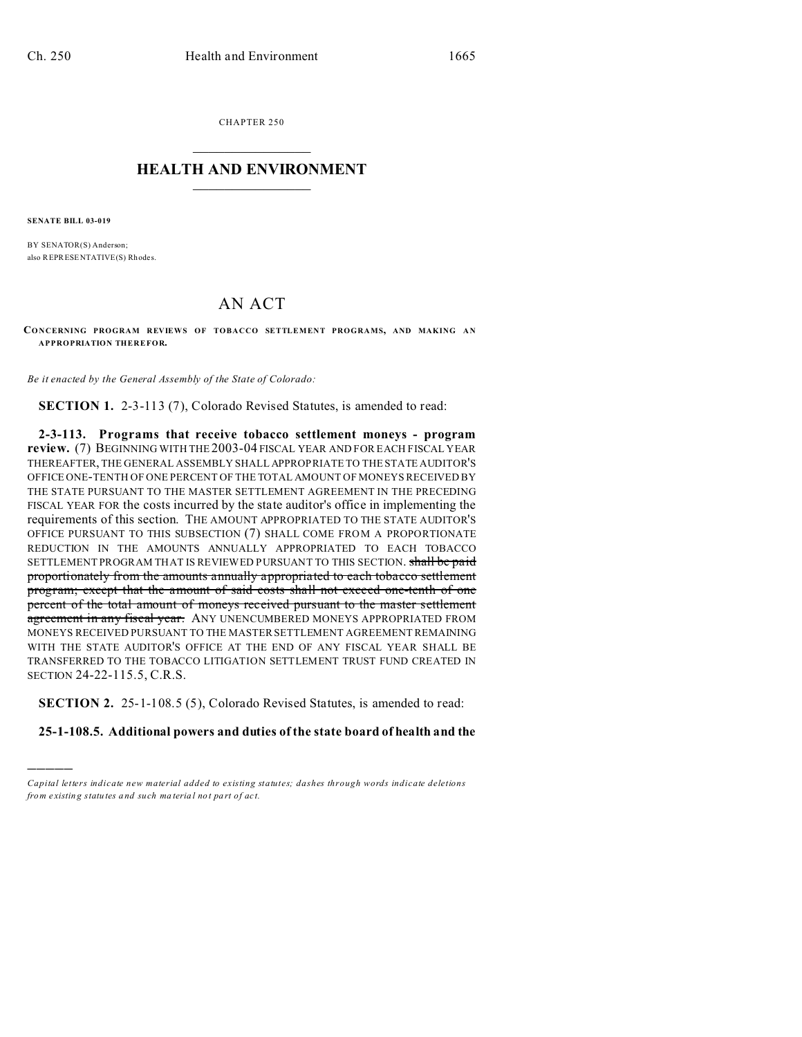CHAPTER 250  $\overline{\phantom{a}}$  , where  $\overline{\phantom{a}}$ 

## **HEALTH AND ENVIRONMENT**  $\_$   $\_$   $\_$   $\_$   $\_$   $\_$   $\_$   $\_$

**SENATE BILL 03-019**

)))))

BY SENATOR(S) Anderson; also REPRESENTATIVE(S) Rh ode s.

## AN ACT

**CO NCERNING PROGRAM REVIEWS OF TOBACCO SETTLEMENT PROGRAMS, AND MAKING AN APPROPRIATION THEREFOR.**

*Be it enacted by the General Assembly of the State of Colorado:*

**SECTION 1.** 2-3-113 (7), Colorado Revised Statutes, is amended to read:

**2-3-113. Programs that receive tobacco settlement moneys - program review.** (7) BEGINNING WITH THE 2003-04 FISCAL YEAR AND FOR EACH FISCAL YEAR THEREAFTER, THE GENERAL ASSEMBLY SHALL APPROPRIATE TO THE STATE AUDITOR'S OFFICE ONE-TENTH OF ONE PERCENT OF THE TOTAL AMOUNT OF MONEYS RECEIVED BY THE STATE PURSUANT TO THE MASTER SETTLEMENT AGREEMENT IN THE PRECEDING FISCAL YEAR FOR the costs incurred by the state auditor's office in implementing the requirements of this section. THE AMOUNT APPROPRIATED TO THE STATE AUDITOR'S OFFICE PURSUANT TO THIS SUBSECTION (7) SHALL COME FROM A PROPORTIONATE REDUCTION IN THE AMOUNTS ANNUALLY APPROPRIATED TO EACH TOBACCO SETTLEMENT PROGRAM THAT IS REVIEWED PURSUANT TO THIS SECTION. shall be paid proportionately from the amounts annually appropriated to each tobacco settlement program; except that the amount of said costs shall not exceed one-tenth of one percent of the total amount of moneys received pursuant to the master settlement agreement in any fiscal year. ANY UNENCUMBERED MONEYS APPROPRIATED FROM MONEYS RECEIVED PURSUANT TO THE MASTER SETTLEMENT AGREEMENT REMAINING WITH THE STATE AUDITOR'S OFFICE AT THE END OF ANY FISCAL YEAR SHALL BE TRANSFERRED TO THE TOBACCO LITIGATION SETTLEMENT TRUST FUND CREATED IN SECTION 24-22-115.5, C.R.S.

**SECTION 2.** 25-1-108.5 (5), Colorado Revised Statutes, is amended to read:

**25-1-108.5. Additional powers and duties of the state board of health and the**

*Capital letters indicate new material added to existing statutes; dashes through words indicate deletions from e xistin g statu tes a nd such ma teria l no t pa rt of ac t.*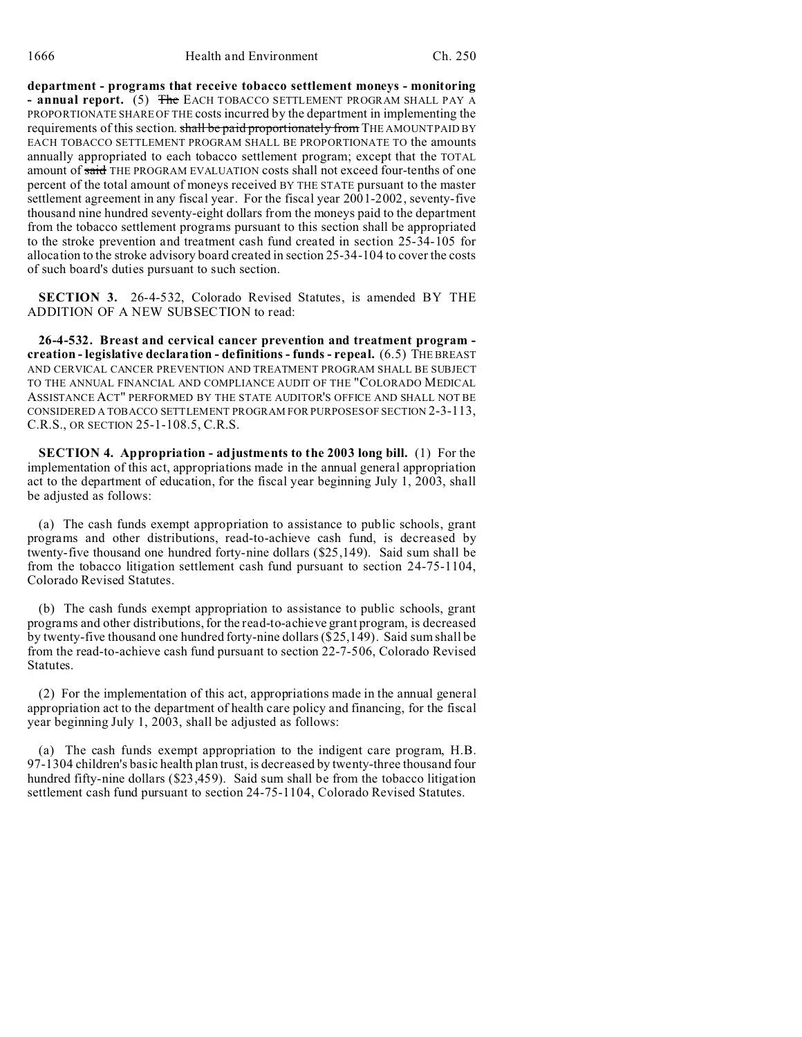**department - programs that receive tobacco settlement moneys - monitoring - annual report.** (5) The EACH TOBACCO SETTLEMENT PROGRAM SHALL PAY A PROPORTIONATE SHARE OF THE costs incurred by the department in implementing the requirements of this section. shall be paid proportionately from THE AMOUNT PAID BY EACH TOBACCO SETTLEMENT PROGRAM SHALL BE PROPORTIONATE TO the amounts annually appropriated to each tobacco settlement program; except that the TOTAL amount of said THE PROGRAM EVALUATION costs shall not exceed four-tenths of one percent of the total amount of moneys received BY THE STATE pursuant to the master settlement agreement in any fiscal year. For the fiscal year 2001-2002, seventy-five thousand nine hundred seventy-eight dollars from the moneys paid to the department from the tobacco settlement programs pursuant to this section shall be appropriated to the stroke prevention and treatment cash fund created in section 25-34-105 for allocation to the stroke advisory board created in section 25-34-104 to cover the costs of such board's duties pursuant to such section.

**SECTION 3.** 26-4-532, Colorado Revised Statutes, is amended BY THE ADDITION OF A NEW SUBSECTION to read:

**26-4-532. Breast and cervical cancer prevention and treatment program creation - legislative declaration - definitions - funds - repeal.** (6.5) THE BREAST AND CERVICAL CANCER PREVENTION AND TREATMENT PROGRAM SHALL BE SUBJECT TO THE ANNUAL FINANCIAL AND COMPLIANCE AUDIT OF THE "COLORADO MEDICAL ASSISTANCE ACT" PERFORMED BY THE STATE AUDITOR'S OFFICE AND SHALL NOT BE CONSIDERED A TOBACCO SETTLEMENT PROGRAM FOR PURPOSES OF SECTION 2-3-113, C.R.S., OR SECTION 25-1-108.5, C.R.S.

**SECTION 4. Appropriation - adjustments to the 2003 long bill.** (1) For the implementation of this act, appropriations made in the annual general appropriation act to the department of education, for the fiscal year beginning July 1, 2003, shall be adjusted as follows:

(a) The cash funds exempt appropriation to assistance to public schools, grant programs and other distributions, read-to-achieve cash fund, is decreased by twenty-five thousand one hundred forty-nine dollars (\$25,149). Said sum shall be from the tobacco litigation settlement cash fund pursuant to section 24-75-1104, Colorado Revised Statutes.

(b) The cash funds exempt appropriation to assistance to public schools, grant programs and other distributions, for the read-to-achieve grant program, is decreased by twenty-five thousand one hundred forty-nine dollars (\$25,149). Said sum shall be from the read-to-achieve cash fund pursuant to section 22-7-506, Colorado Revised Statutes.

(2) For the implementation of this act, appropriations made in the annual general appropriation act to the department of health care policy and financing, for the fiscal year beginning July 1, 2003, shall be adjusted as follows:

(a) The cash funds exempt appropriation to the indigent care program, H.B. 97-1304 children's basic health plan trust, is decreased by twenty-three thousand four hundred fifty-nine dollars (\$23,459). Said sum shall be from the tobacco litigation settlement cash fund pursuant to section 24-75-1104, Colorado Revised Statutes.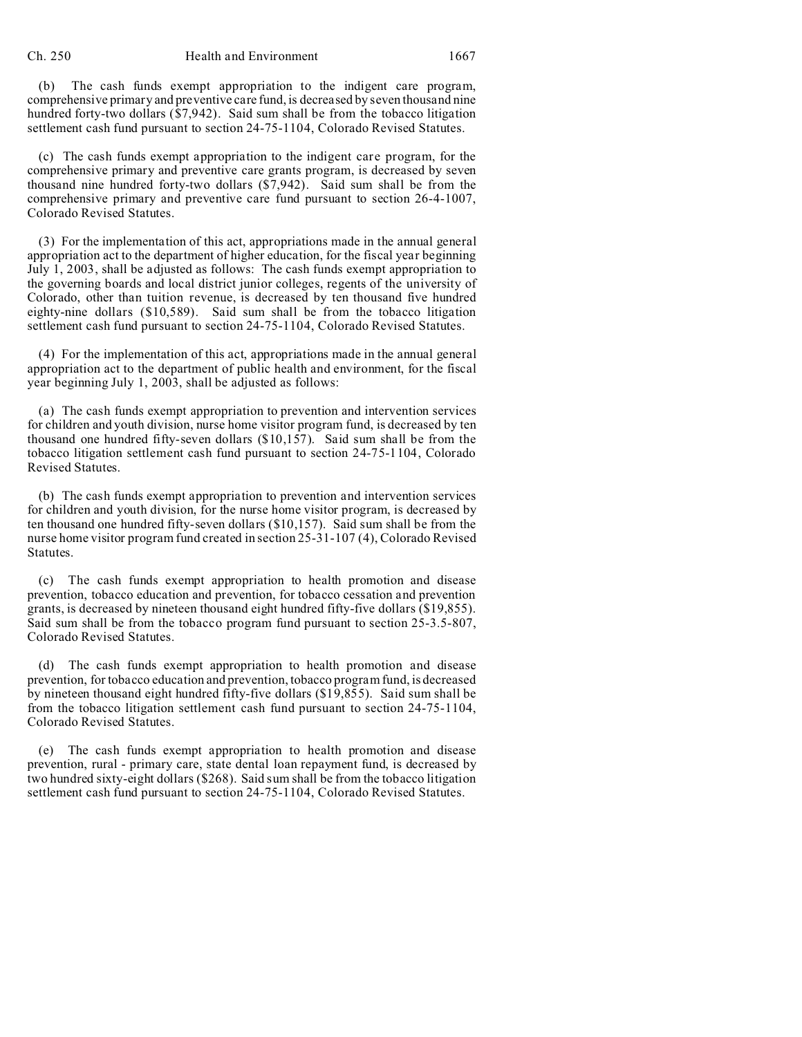(b) The cash funds exempt appropriation to the indigent care program, comprehensive primary and preventive care fund, is decreased by seven thousand nine hundred forty-two dollars (\$7,942). Said sum shall be from the tobacco litigation settlement cash fund pursuant to section 24-75-1104, Colorado Revised Statutes.

(c) The cash funds exempt appropriation to the indigent care program, for the comprehensive primary and preventive care grants program, is decreased by seven thousand nine hundred forty-two dollars (\$7,942). Said sum shall be from the comprehensive primary and preventive care fund pursuant to section 26-4-1007, Colorado Revised Statutes.

(3) For the implementation of this act, appropriations made in the annual general appropriation act to the department of higher education, for the fiscal year beginning July 1, 2003, shall be adjusted as follows: The cash funds exempt appropriation to the governing boards and local district junior colleges, regents of the university of Colorado, other than tuition revenue, is decreased by ten thousand five hundred eighty-nine dollars (\$10,589). Said sum shall be from the tobacco litigation settlement cash fund pursuant to section 24-75-1104, Colorado Revised Statutes.

(4) For the implementation of this act, appropriations made in the annual general appropriation act to the department of public health and environment, for the fiscal year beginning July 1, 2003, shall be adjusted as follows:

(a) The cash funds exempt appropriation to prevention and intervention services for children and youth division, nurse home visitor program fund, is decreased by ten thousand one hundred fifty-seven dollars (\$10,157). Said sum shall be from the tobacco litigation settlement cash fund pursuant to section 24-75-1104, Colorado Revised Statutes.

(b) The cash funds exempt appropriation to prevention and intervention services for children and youth division, for the nurse home visitor program, is decreased by ten thousand one hundred fifty-seven dollars (\$10,157). Said sum shall be from the nurse home visitor program fund created in section 25-31-107 (4), Colorado Revised Statutes.

(c) The cash funds exempt appropriation to health promotion and disease prevention, tobacco education and prevention, for tobacco cessation and prevention grants, is decreased by nineteen thousand eight hundred fifty-five dollars (\$19,855). Said sum shall be from the tobacco program fund pursuant to section 25-3.5-807, Colorado Revised Statutes.

(d) The cash funds exempt appropriation to health promotion and disease prevention, for tobacco education and prevention, tobacco program fund, is decreased by nineteen thousand eight hundred fifty-five dollars (\$19,855). Said sum shall be from the tobacco litigation settlement cash fund pursuant to section 24-75-1104, Colorado Revised Statutes.

(e) The cash funds exempt appropriation to health promotion and disease prevention, rural - primary care, state dental loan repayment fund, is decreased by two hundred sixty-eight dollars (\$268). Said sum shall be from the tobacco litigation settlement cash fund pursuant to section 24-75-1104, Colorado Revised Statutes.